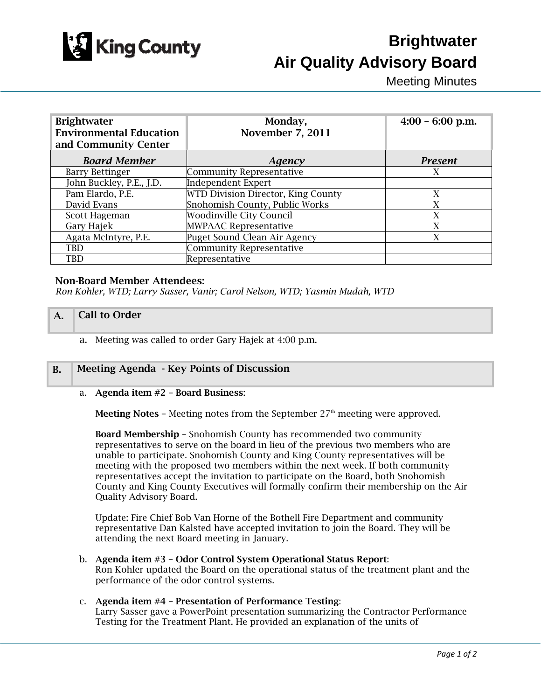

# **Brightwater Air Quality Advisory Board**

Meeting Minutes

| <b>Brightwater</b><br><b>Environmental Education</b><br>and Community Center | Monday,<br><b>November 7, 2011</b> | $4:00 - 6:00$ p.m. |
|------------------------------------------------------------------------------|------------------------------------|--------------------|
| <b>Board Member</b>                                                          | Agency                             | <b>Present</b>     |
| <b>Barry Bettinger</b>                                                       | <b>Community Representative</b>    | X                  |
| John Buckley, P.E., J.D.                                                     | <b>Independent Expert</b>          |                    |
| Pam Elardo, P.E.                                                             | WTD Division Director, King County | X                  |
| David Evans                                                                  | Snohomish County, Public Works     | X                  |
| Scott Hageman                                                                | <b>Woodinville City Council</b>    | X                  |
| Gary Hajek                                                                   | <b>MWPAAC Representative</b>       | X                  |
| Agata McIntyre, P.E.                                                         | Puget Sound Clean Air Agency       | X                  |
| TBD                                                                          | <b>Community Representative</b>    |                    |
| TBD                                                                          | Representative                     |                    |

#### Non-Board Member Attendees:

*Ron Kohler, WTD; Larry Sasser, Vanir; Carol Nelson, WTD; Yasmin Mudah, WTD* 

#### A. Call to Order

a. Meeting was called to order Gary Hajek at 4:00 p.m.

## B. Meeting Agenda - Key Points of Discussion

#### a. Agenda item #2 – Board Business:

**Meeting Notes –** Meeting notes from the September  $27<sup>th</sup>$  meeting were approved.

Board Membership – Snohomish County has recommended two community representatives to serve on the board in lieu of the previous two members who are unable to participate. Snohomish County and King County representatives will be meeting with the proposed two members within the next week. If both community representatives accept the invitation to participate on the Board, both Snohomish County and King County Executives will formally confirm their membership on the Air Quality Advisory Board.

Update: Fire Chief Bob Van Horne of the Bothell Fire Department and community representative Dan Kalsted have accepted invitation to join the Board. They will be attending the next Board meeting in January.

b. Agenda item #3 – Odor Control System Operational Status Report: Ron Kohler updated the Board on the operational status of the treatment plant and the performance of the odor control systems.

# c. Agenda item #4 – Presentation of Performance Testing:

Larry Sasser gave a PowerPoint presentation summarizing the Contractor Performance Testing for the Treatment Plant. He provided an explanation of the units of